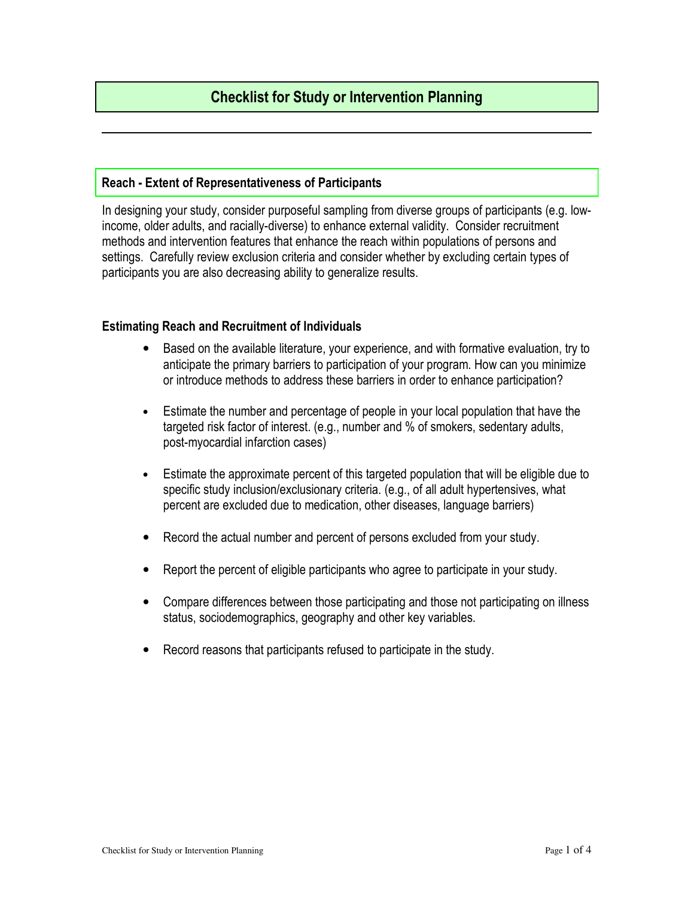# Checklist for Study or Intervention Planning

#### Reach - Extent of Representativeness of Participants

In designing your study, consider purposeful sampling from diverse groups of participants (e.g. lowincome, older adults, and racially-diverse) to enhance external validity. Consider recruitment methods and intervention features that enhance the reach within populations of persons and settings. Carefully review exclusion criteria and consider whether by excluding certain types of participants you are also decreasing ability to generalize results.

### Estimating Reach and Recruitment of Individuals

- Based on the available literature, your experience, and with formative evaluation, try to anticipate the primary barriers to participation of your program. How can you minimize or introduce methods to address these barriers in order to enhance participation?
- Estimate the number and percentage of people in your local population that have the targeted risk factor of interest. (e.g., number and % of smokers, sedentary adults, post-myocardial infarction cases)
- Estimate the approximate percent of this targeted population that will be eligible due to specific study inclusion/exclusionary criteria. (e.g., of all adult hypertensives, what percent are excluded due to medication, other diseases, language barriers)
- Record the actual number and percent of persons excluded from your study.
- Report the percent of eligible participants who agree to participate in your study.
- Compare differences between those participating and those not participating on illness status, sociodemographics, geography and other key variables.
- Record reasons that participants refused to participate in the study.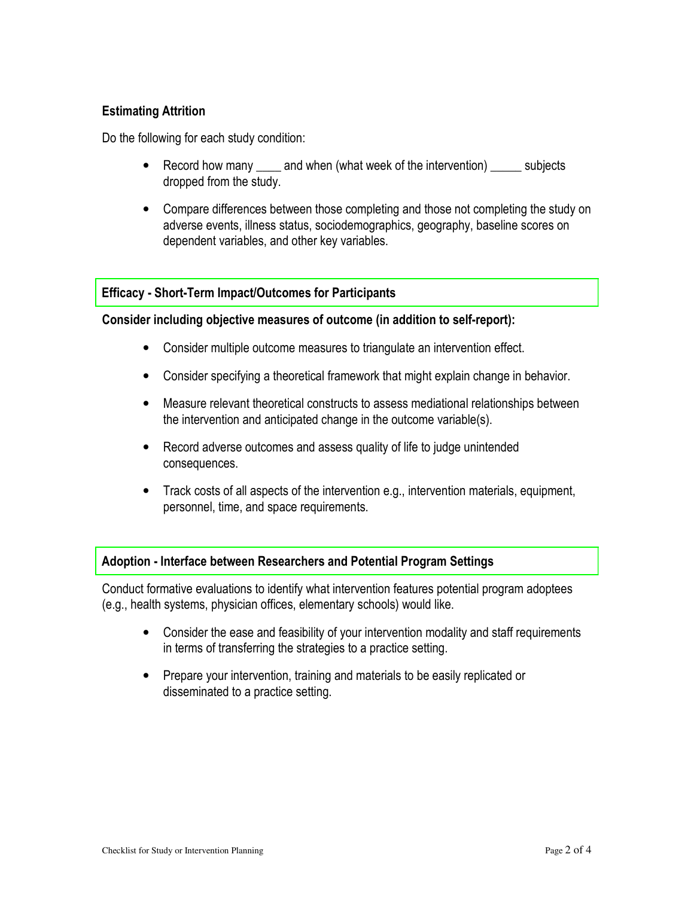# Estimating Attrition

Do the following for each study condition:

- Record how many \_\_\_\_\_ and when (what week of the intervention) \_\_\_\_\_\_ subjects dropped from the study.
- Compare differences between those completing and those not completing the study on adverse events, illness status, sociodemographics, geography, baseline scores on dependent variables, and other key variables.

## Efficacy - Short-Term Impact/Outcomes for Participants

#### Consider including objective measures of outcome (in addition to self-report):

- Consider multiple outcome measures to triangulate an intervention effect.
- Consider specifying a theoretical framework that might explain change in behavior.
- Measure relevant theoretical constructs to assess mediational relationships between the intervention and anticipated change in the outcome variable(s).
- Record adverse outcomes and assess quality of life to judge unintended consequences.
- Track costs of all aspects of the intervention e.g., intervention materials, equipment, personnel, time, and space requirements.

## Adoption - Interface between Researchers and Potential Program Settings

Conduct formative evaluations to identify what intervention features potential program adoptees (e.g., health systems, physician offices, elementary schools) would like.

- Consider the ease and feasibility of your intervention modality and staff requirements in terms of transferring the strategies to a practice setting.
- Prepare your intervention, training and materials to be easily replicated or disseminated to a practice setting.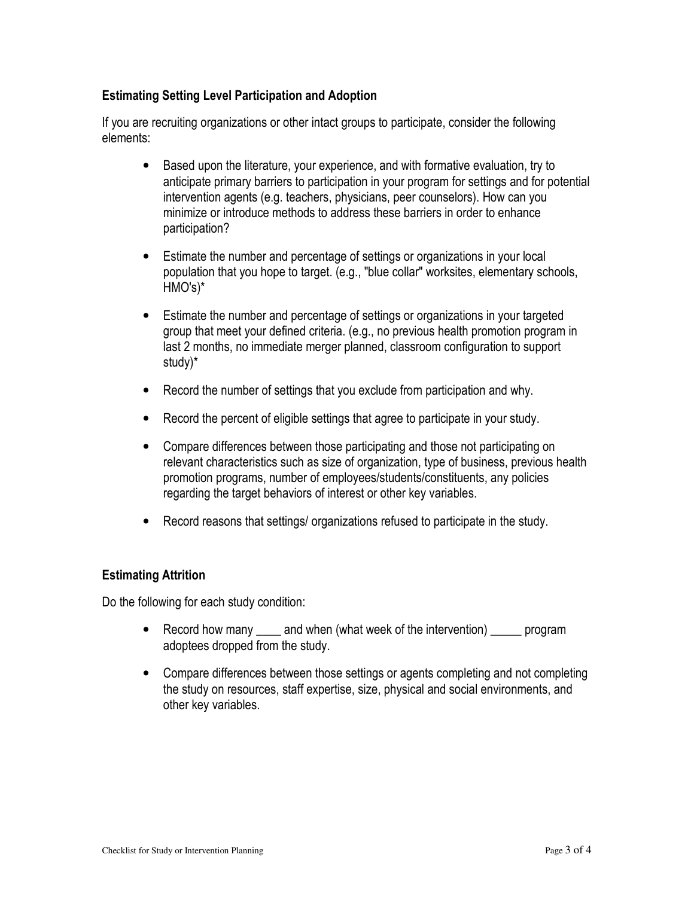# Estimating Setting Level Participation and Adoption

If you are recruiting organizations or other intact groups to participate, consider the following elements:

- Based upon the literature, your experience, and with formative evaluation, try to anticipate primary barriers to participation in your program for settings and for potential intervention agents (e.g. teachers, physicians, peer counselors). How can you minimize or introduce methods to address these barriers in order to enhance participation?
- Estimate the number and percentage of settings or organizations in your local population that you hope to target. (e.g., "blue collar" worksites, elementary schools, HMO's)\*
- Estimate the number and percentage of settings or organizations in your targeted group that meet your defined criteria. (e.g., no previous health promotion program in last 2 months, no immediate merger planned, classroom configuration to support study)\*
- Record the number of settings that you exclude from participation and why.
- Record the percent of eligible settings that agree to participate in your study.
- Compare differences between those participating and those not participating on relevant characteristics such as size of organization, type of business, previous health promotion programs, number of employees/students/constituents, any policies regarding the target behaviors of interest or other key variables.
- Record reasons that settings/ organizations refused to participate in the study.

## Estimating Attrition

Do the following for each study condition:

- Record how many \_\_\_\_ and when (what week of the intervention) \_\_\_\_\_ program adoptees dropped from the study.
- Compare differences between those settings or agents completing and not completing the study on resources, staff expertise, size, physical and social environments, and other key variables.